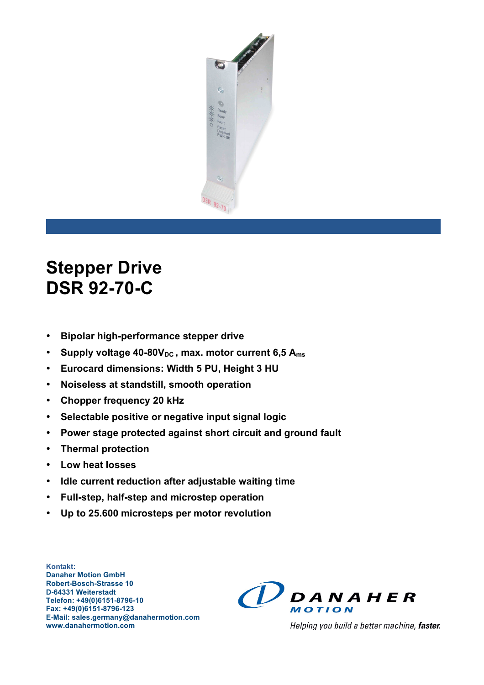

# **Stepper Drive DSR 92-70-C**

- **Bipolar high-performance stepper drive**
- Supply voltage 40-80V<sub>DC</sub>, max. motor current 6,5 A<sub>ms</sub>
- **Eurocard dimensions: Width 5 PU, Height 3 HU**
- **Noiseless at standstill, smooth operation**
- **Chopper frequency 20 kHz**
- **Selectable positive or negative input signal logic**
- **Power stage protected against short circuit and ground fault**
- **Thermal protection**
- **Low heat losses**
- **Idle current reduction after adjustable waiting time**
- **Full-step, half-step and microstep operation**
- **Up to 25.600 microsteps per motor revolution**

**Kontakt: Danaher Motion GmbH Robert-Bosch-Strasse 10 D-64331 Weiterstadt Telefon: +49(0)6151-8796-10 Fax: +49(0)6151-8796-123 E-Mail: sales.germany@danahermotion.com www.danahermotion.com**



Helping you build a better machine, faster.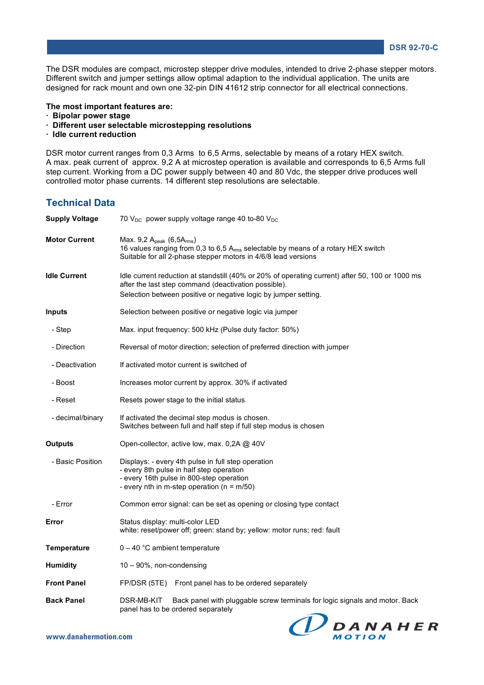The DSR modules are compact, microstep stepper drive modules, intended to drive 2-phase stepper motors. Different switch and jumper settings allow optimal adaption to the individual application. The units are designed for rack mount and own one 32-pin DIN 41612 strip connector for all electrical connections.

#### **The most important features are:**

- **· Bipolar power stage**
- **· Different user selectable microstepping resolutions**
- **· Idle current reduction**

DSR motor current ranges from 0,3 Arms to 6,5 Arms, selectable by means of a rotary HEX switch. A max. peak current of approx. 9,2 A at microstep operation is available and corresponds to 6,5 Arms full step current. Working from a DC power supply between 40 and 80 Vdc, the stepper drive produces well controlled motor phase currents. 14 different step resolutions are selectable.

### **Technical Data**

| <b>Supply Voltage</b> | 70 $V_{DC}$ power supply voltage range 40 to-80 $V_{DC}$                                                                                                                                                                   |  |  |
|-----------------------|----------------------------------------------------------------------------------------------------------------------------------------------------------------------------------------------------------------------------|--|--|
| <b>Motor Current</b>  | Max. 9,2 Apeak (6,5Arms)<br>16 values ranging from 0,3 to 6,5 A <sub>rms</sub> selectable by means of a rotary HEX switch<br>Suitable for all 2-phase stepper motors in 4/6/8 lead versions                                |  |  |
| <b>Idle Current</b>   | Idle current reduction at standstill (40% or 20% of operating current) after 50, 100 or 1000 ms<br>after the last step command (deactivation possible).<br>Selection between positive or negative logic by jumper setting. |  |  |
| <b>Inputs</b>         | Selection between positive or negative logic via jumper                                                                                                                                                                    |  |  |
| - Step                | Max. input frequency: 500 kHz (Pulse duty factor: 50%)                                                                                                                                                                     |  |  |
| - Direction           | Reversal of motor direction; selection of preferred direction with jumper                                                                                                                                                  |  |  |
| - Deactivation        | If activated motor current is switched of                                                                                                                                                                                  |  |  |
| - Boost               | Increases motor current by approx. 30% if activated                                                                                                                                                                        |  |  |
| - Reset               | Resets power stage to the initial status                                                                                                                                                                                   |  |  |
| - decimal/binary      | If activated the decimal step modus is chosen.<br>Switches between full and half step if full step modus is chosen                                                                                                         |  |  |
| <b>Outputs</b>        | Open-collector, active low, max. 0,2A @ 40V                                                                                                                                                                                |  |  |
| - Basic Position      | Displays: - every 4th pulse in full step operation<br>- every 8th pulse in half step operation<br>- every 16th pulse in 800-step operation<br>- every nth in m-step operation ( $n = m/50$ )                               |  |  |
| - Error               | Common error signal: can be set as opening or closing type contact                                                                                                                                                         |  |  |
| Error                 | Status display: multi-color LED<br>white: reset/power off; green: stand by; yellow: motor runs; red: fault                                                                                                                 |  |  |
| <b>Temperature</b>    | $0 - 40$ °C ambient temperature                                                                                                                                                                                            |  |  |
| <b>Humidity</b>       | 10 - 90%, non-condensing                                                                                                                                                                                                   |  |  |
| <b>Front Panel</b>    | FP/DSR (5TE) Front panel has to be ordered separately                                                                                                                                                                      |  |  |
| <b>Back Panel</b>     | DSR-MB-KIT<br>Back panel with pluggable screw terminals for logic signals and motor. Back<br>panel has to be ordered separately                                                                                            |  |  |